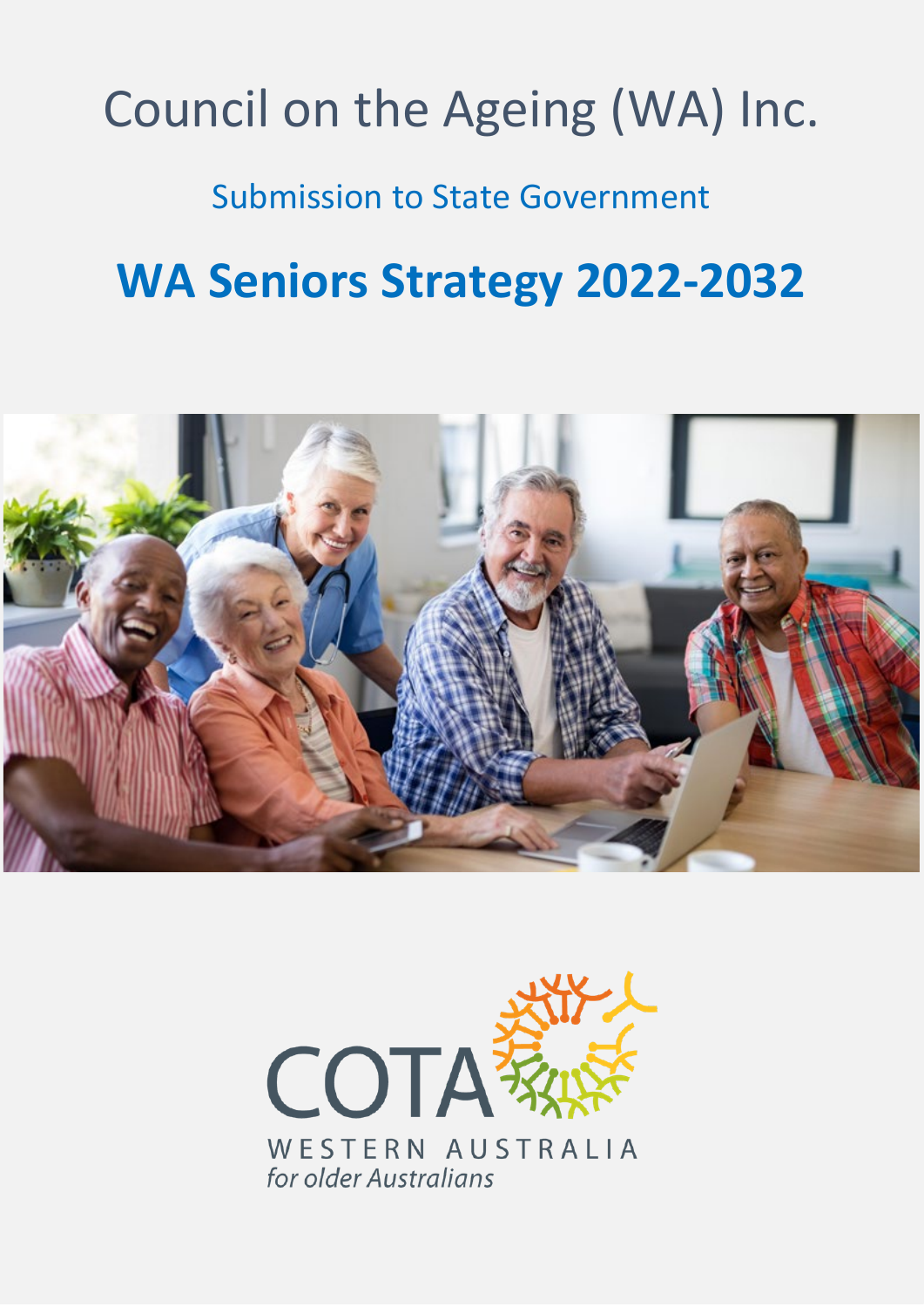#### **The Perron Centre**  $\mathbf{S} \cap \mathbf{A}$ IIC A2 **ABN 79 970 893 100 P.O. Box 923**  $\mathbf{v} \sim \mathbf{v}$ **W: www.cotawa.org.au T: (08) 9472 0104 Fig. 1 E: admin@cotawa.org.au** Council on the Agei[ng \(W](http://www.cotawa.org.au/)[A\) Inc.](mailto:admin@cotawa.org.au)

Submission to State Government

# **WA Seniors Strategy 2022-2032**



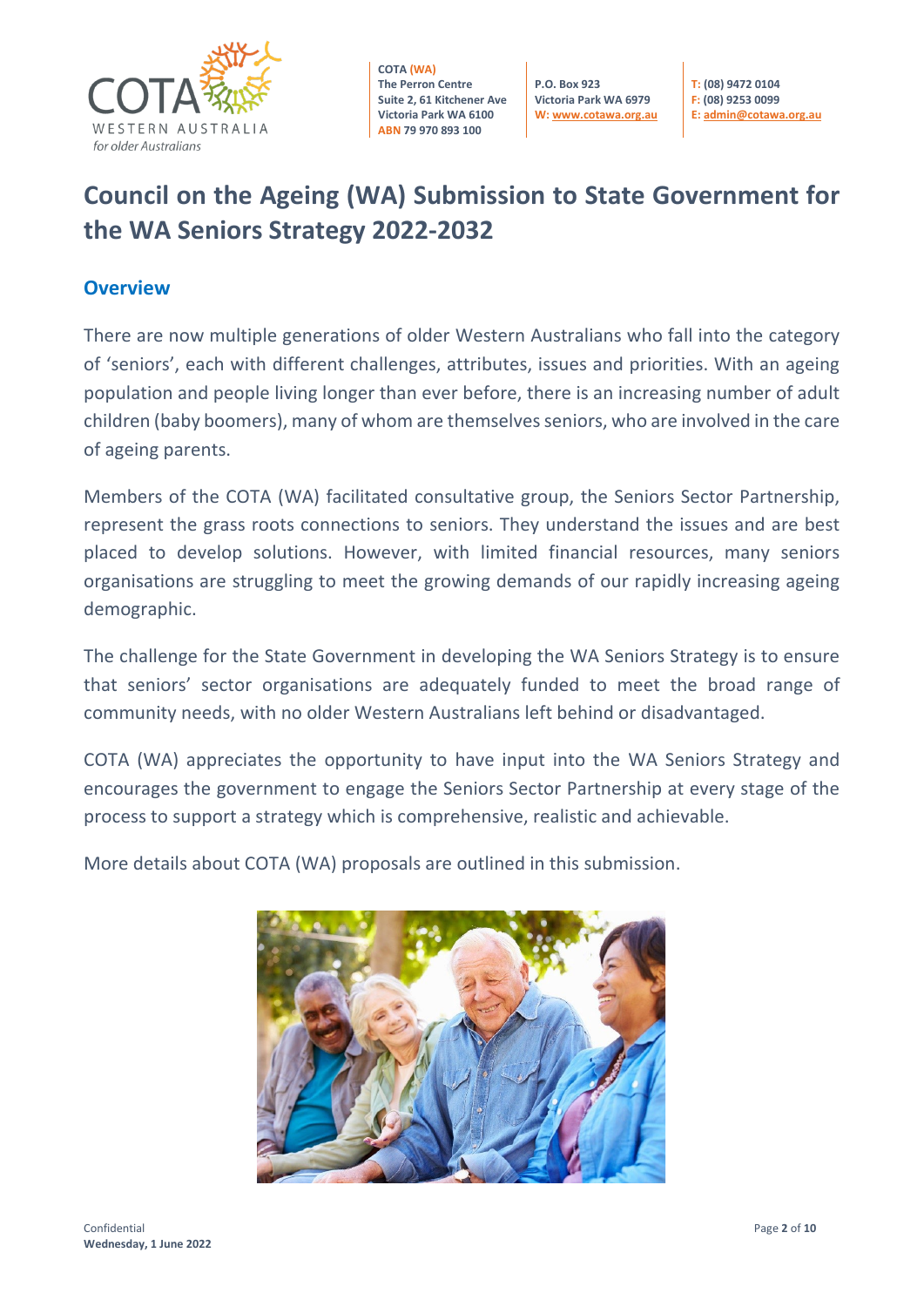

**P.O. Box 923 Victoria Park WA 6979 W[: www.cotawa.org.au](http://www.cotawa.org.au/)** **T: (08) 9472 0104 F: (08) 9253 0099 E[: admin@cotawa.org.au](mailto:admin@cotawa.org.au)**

# **Council on the Ageing (WA) Submission to State Government for the WA Seniors Strategy 2022-2032**

#### **Overview**

There are now multiple generations of older Western Australians who fall into the category of 'seniors', each with different challenges, attributes, issues and priorities. With an ageing population and people living longer than ever before, there is an increasing number of adult children (baby boomers), many of whom are themselves seniors, who are involved in the care of ageing parents.

Members of the COTA (WA) facilitated consultative group, the Seniors Sector Partnership, represent the grass roots connections to seniors. They understand the issues and are best placed to develop solutions. However, with limited financial resources, many seniors organisations are struggling to meet the growing demands of our rapidly increasing ageing demographic.

The challenge for the State Government in developing the WA Seniors Strategy is to ensure that seniors' sector organisations are adequately funded to meet the broad range of community needs, with no older Western Australians left behind or disadvantaged.

COTA (WA) appreciates the opportunity to have input into the WA Seniors Strategy and encourages the government to engage the Seniors Sector Partnership at every stage of the process to support a strategy which is comprehensive, realistic and achievable.

More details about COTA (WA) proposals are outlined in this submission.

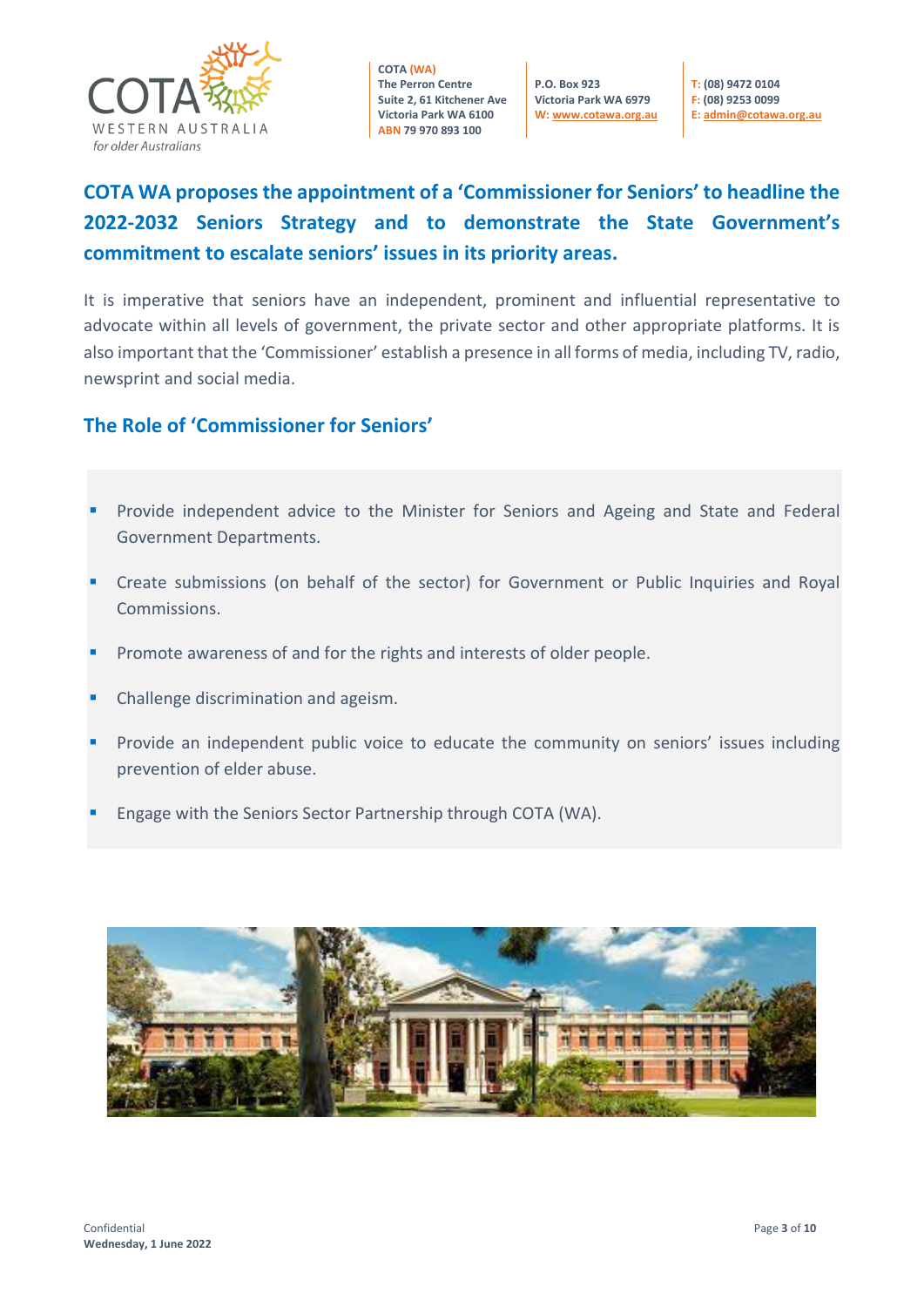

**P.O. Box 923 Victoria Park WA 6979 W[: www.cotawa.org.au](http://www.cotawa.org.au/)**  **T: (08) 9472 0104 F: (08) 9253 0099 E[: admin@cotawa.org.au](mailto:admin@cotawa.org.au)** 

# **COTA WA proposes the appointment of a 'Commissioner for Seniors' to headline the 2022-2032 Seniors Strategy and to demonstrate the State Government's commitment to escalate seniors' issues in its priority areas.**

It is imperative that seniors have an independent, prominent and influential representative to advocate within all levels of government, the private sector and other appropriate platforms. It is also important that the 'Commissioner' establish a presence in all forms of media, including TV, radio, newsprint and social media.

#### **The Role of 'Commissioner for Seniors'**

- Provide independent advice to the Minister for Seniors and Ageing and State and Federal Government Departments.
- Create submissions (on behalf of the sector) for Government or Public Inquiries and Royal Commissions.
- Promote awareness of and for the rights and interests of older people.
- Challenge discrimination and ageism.
- Provide an independent public voice to educate the community on seniors' issues including prevention of elder abuse.
- Engage with the Seniors Sector Partnership through COTA (WA).

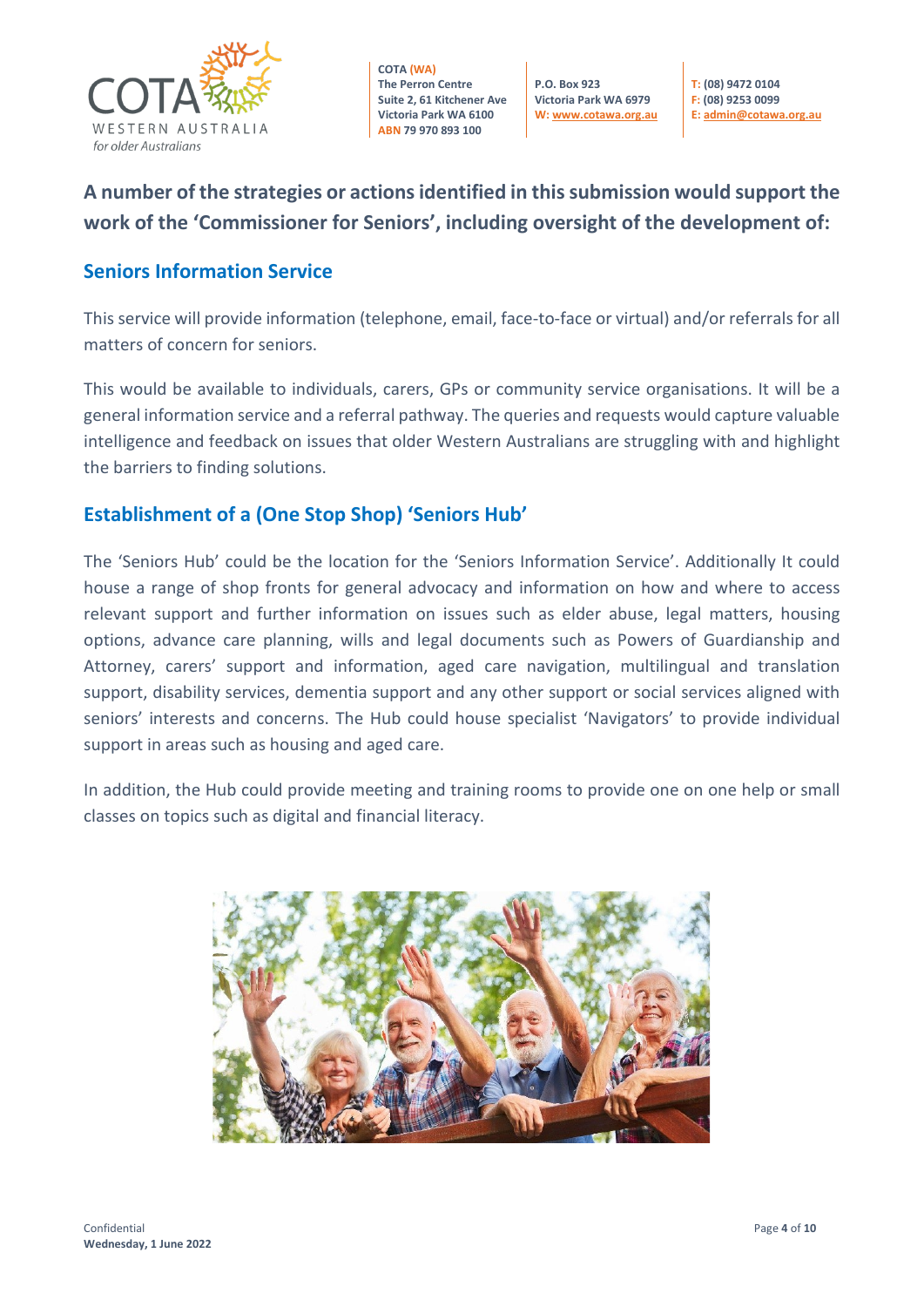

**P.O. Box 923 Victoria Park WA 6979 W[: www.cotawa.org.au](http://www.cotawa.org.au/)** **T: (08) 9472 0104 F: (08) 9253 0099 E[: admin@cotawa.org.au](mailto:admin@cotawa.org.au)**

# **A number of the strategies or actions identified in this submission would support the work of the 'Commissioner for Seniors', including oversight of the development of:**

#### **Seniors Information Service**

This service will provide information (telephone, email, face-to-face or virtual) and/or referrals for all matters of concern for seniors.

This would be available to individuals, carers, GPs or community service organisations. It will be a general information service and a referral pathway. The queries and requests would capture valuable intelligence and feedback on issues that older Western Australians are struggling with and highlight the barriers to finding solutions.

#### **Establishment of a (One Stop Shop) 'Seniors Hub'**

The 'Seniors Hub' could be the location for the 'Seniors Information Service'. Additionally It could house a range of shop fronts for general advocacy and information on how and where to access relevant support and further information on issues such as elder abuse, legal matters, housing options, advance care planning, wills and legal documents such as Powers of Guardianship and Attorney, carers' support and information, aged care navigation, multilingual and translation support, disability services, dementia support and any other support or social services aligned with seniors' interests and concerns. The Hub could house specialist 'Navigators' to provide individual support in areas such as housing and aged care.

In addition, the Hub could provide meeting and training rooms to provide one on one help or small classes on topics such as digital and financial literacy.

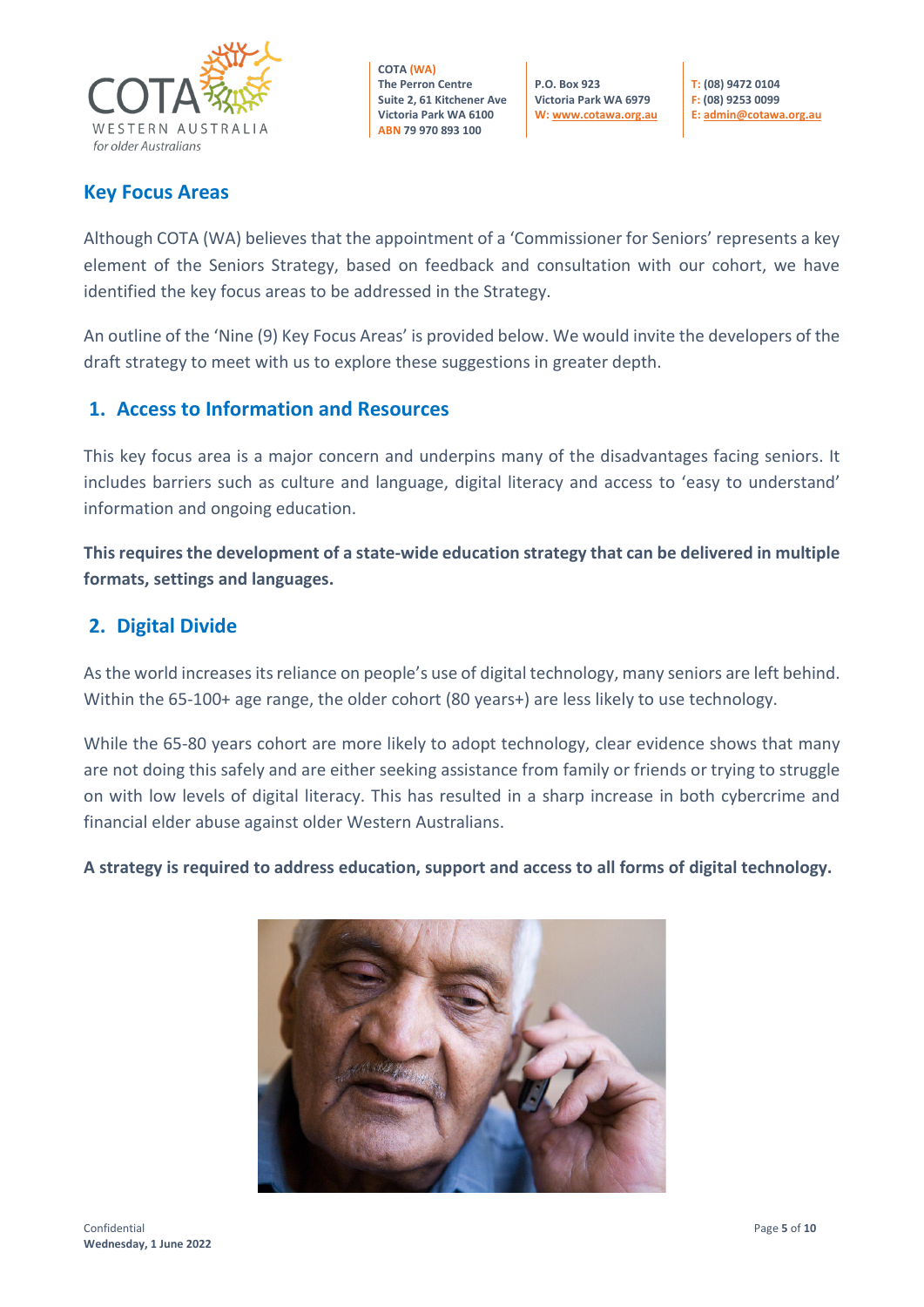

**P.O. Box 923 Victoria Park WA 6979 W[: www.cotawa.org.au](http://www.cotawa.org.au/)**

**T: (08) 9472 0104 F: (08) 9253 0099 E[: admin@cotawa.org.au](mailto:admin@cotawa.org.au)**

#### **Key Focus Areas**

Although COTA (WA) believes that the appointment of a 'Commissioner for Seniors' represents a key element of the Seniors Strategy, based on feedback and consultation with our cohort, we have identified the key focus areas to be addressed in the Strategy.

An outline of the 'Nine (9) Key Focus Areas' is provided below. We would invite the developers of the draft strategy to meet with us to explore these suggestions in greater depth.

#### **1. Access to Information and Resources**

This key focus area is a major concern and underpins many of the disadvantages facing seniors. It includes barriers such as culture and language, digital literacy and access to 'easy to understand' information and ongoing education.

**This requires the development of a state-wide education strategy that can be delivered in multiple formats, settings and languages.**

#### **2. Digital Divide**

As the world increases its reliance on people's use of digital technology, many seniors are left behind. Within the 65-100+ age range, the older cohort (80 years+) are less likely to use technology.

While the 65-80 years cohort are more likely to adopt technology, clear evidence shows that many are not doing this safely and are either seeking assistance from family or friends or trying to struggle on with low levels of digital literacy. This has resulted in a sharp increase in both cybercrime and financial elder abuse against older Western Australians.

**A strategy is required to address education, support and access to all forms of digital technology.**

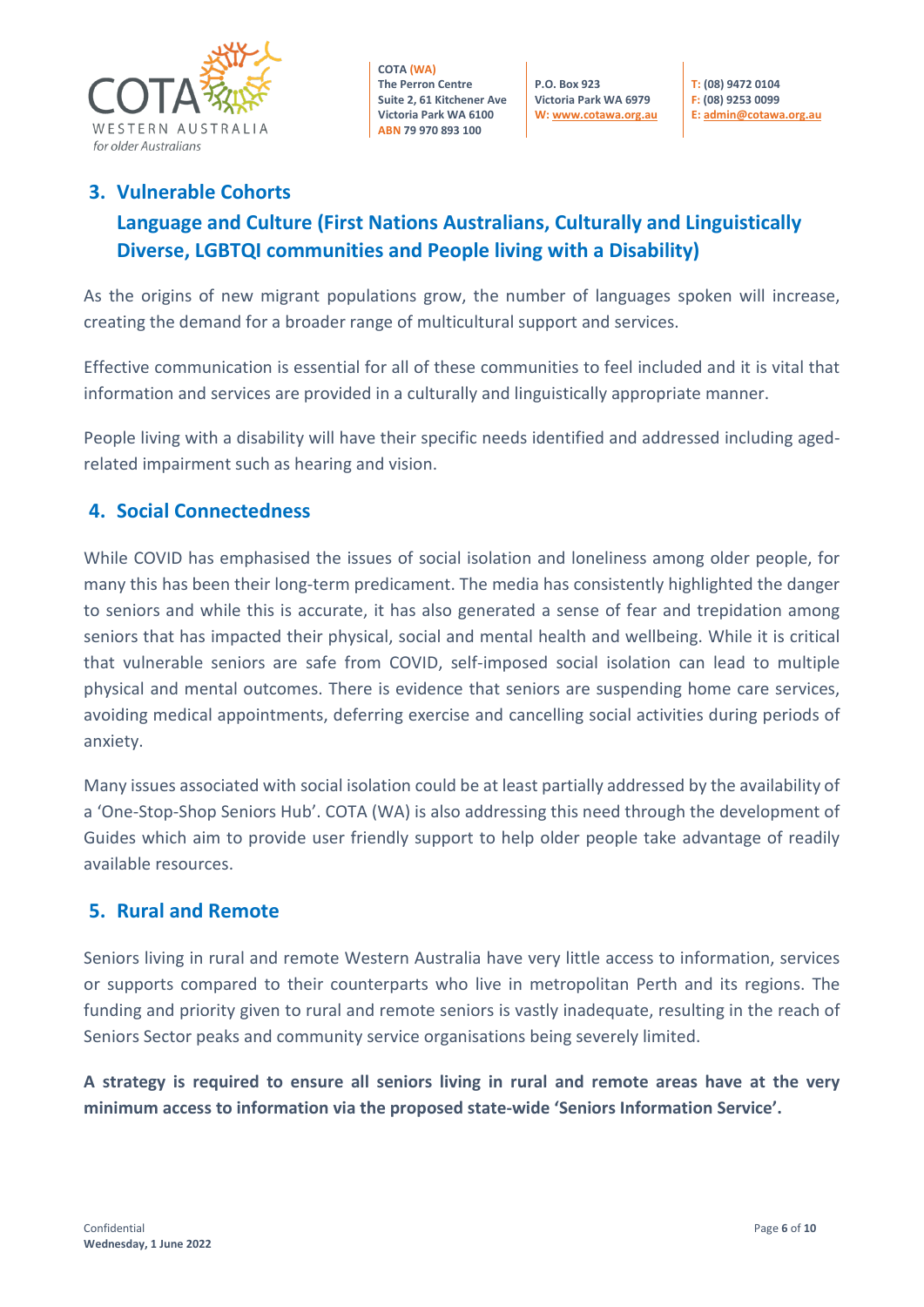

**P.O. Box 923 Victoria Park WA 6979 W[: www.cotawa.org.au](http://www.cotawa.org.au/)** **T: (08) 9472 0104 F: (08) 9253 0099 E[: admin@cotawa.org.au](mailto:admin@cotawa.org.au)**

# **3. Vulnerable Cohorts Language and Culture (First Nations Australians, Culturally and Linguistically Diverse, LGBTQI communities and People living with a Disability)**

As the origins of new migrant populations grow, the number of languages spoken will increase, creating the demand for a broader range of multicultural support and services.

Effective communication is essential for all of these communities to feel included and it is vital that information and services are provided in a culturally and linguistically appropriate manner.

People living with a disability will have their specific needs identified and addressed including agedrelated impairment such as hearing and vision.

#### **4. Social Connectedness**

While COVID has emphasised the issues of social isolation and loneliness among older people, for many this has been their long-term predicament. The media has consistently highlighted the danger to seniors and while this is accurate, it has also generated a sense of fear and trepidation among seniors that has impacted their physical, social and mental health and wellbeing. While it is critical that vulnerable seniors are safe from COVID, self-imposed social isolation can lead to multiple physical and mental outcomes. There is evidence that seniors are suspending home care services, avoiding medical appointments, deferring exercise and cancelling social activities during periods of anxiety.

Many issues associated with social isolation could be at least partially addressed by the availability of a 'One-Stop-Shop Seniors Hub'. COTA (WA) is also addressing this need through the development of Guides which aim to provide user friendly support to help older people take advantage of readily available resources.

#### **5. Rural and Remote**

Seniors living in rural and remote Western Australia have very little access to information, services or supports compared to their counterparts who live in metropolitan Perth and its regions. The funding and priority given to rural and remote seniors is vastly inadequate, resulting in the reach of Seniors Sector peaks and community service organisations being severely limited.

**A strategy is required to ensure all seniors living in rural and remote areas have at the very minimum access to information via the proposed state-wide 'Seniors Information Service'.**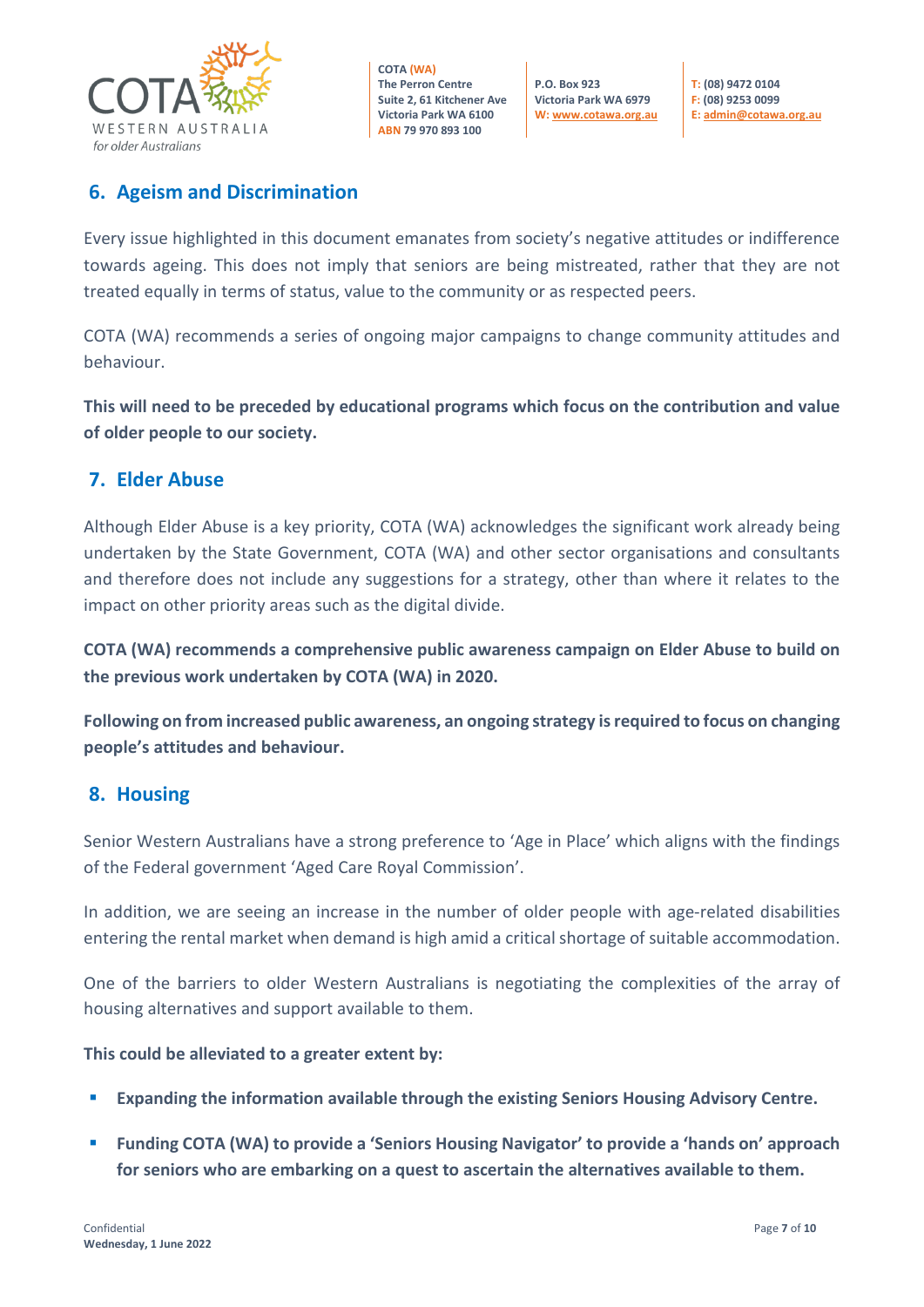

**P.O. Box 923 Victoria Park WA 6979 W[: www.cotawa.org.au](http://www.cotawa.org.au/)**

**T: (08) 9472 0104 F: (08) 9253 0099 E[: admin@cotawa.org.au](mailto:admin@cotawa.org.au)**

#### **6. Ageism and Discrimination**

Every issue highlighted in this document emanates from society's negative attitudes or indifference towards ageing. This does not imply that seniors are being mistreated, rather that they are not treated equally in terms of status, value to the community or as respected peers.

COTA (WA) recommends a series of ongoing major campaigns to change community attitudes and behaviour.

**This will need to be preceded by educational programs which focus on the contribution and value of older people to our society.**

#### **7. Elder Abuse**

Although Elder Abuse is a key priority, COTA (WA) acknowledges the significant work already being undertaken by the State Government, COTA (WA) and other sector organisations and consultants and therefore does not include any suggestions for a strategy, other than where it relates to the impact on other priority areas such as the digital divide.

**COTA (WA) recommends a comprehensive public awareness campaign on Elder Abuse to build on the previous work undertaken by COTA (WA) in 2020.**

**Following on from increased public awareness, an ongoing strategy is required to focus on changing people's attitudes and behaviour.**

#### **8. Housing**

Senior Western Australians have a strong preference to 'Age in Place' which aligns with the findings of the Federal government 'Aged Care Royal Commission'.

In addition, we are seeing an increase in the number of older people with age-related disabilities entering the rental market when demand is high amid a critical shortage of suitable accommodation.

One of the barriers to older Western Australians is negotiating the complexities of the array of housing alternatives and support available to them.

#### **This could be alleviated to a greater extent by:**

- **Expanding the information available through the existing Seniors Housing Advisory Centre.**
- **Funding COTA (WA) to provide a 'Seniors Housing Navigator' to provide a 'hands on' approach for seniors who are embarking on a quest to ascertain the alternatives available to them.**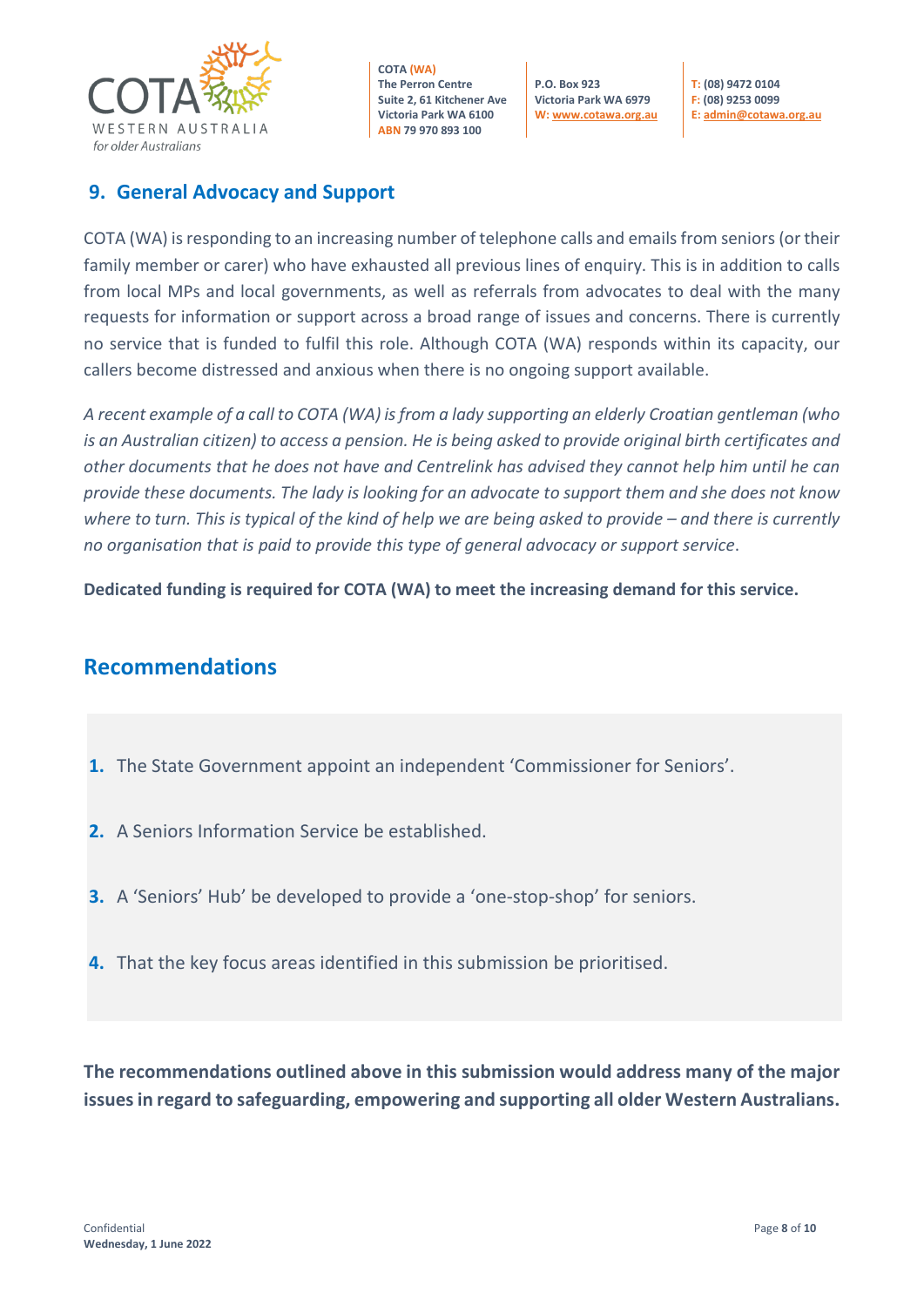

**P.O. Box 923 Victoria Park WA 6979 W[: www.cotawa.org.au](http://www.cotawa.org.au/)** 

**T: (08) 9472 0104 F: (08) 9253 0099 E[: admin@cotawa.org.au](mailto:admin@cotawa.org.au)** 

### **9. General Advocacy and Support**

COTA (WA) is responding to an increasing number of telephone calls and emails from seniors (or their family member or carer) who have exhausted all previous lines of enquiry. This is in addition to calls from local MPs and local governments, as well as referrals from advocates to deal with the many requests for information or support across a broad range of issues and concerns. There is currently no service that is funded to fulfil this role. Although COTA (WA) responds within its capacity, our callers become distressed and anxious when there is no ongoing support available.

*A recent example of a call to COTA (WA) is from a lady supporting an elderly Croatian gentleman (who is an Australian citizen) to access a pension. He is being asked to provide original birth certificates and other documents that he does not have and Centrelink has advised they cannot help him until he can provide these documents. The lady is looking for an advocate to support them and she does not know where to turn. This is typical of the kind of help we are being asked to provide – and there is currently no organisation that is paid to provide this type of general advocacy or support service*.

**Dedicated funding is required for COTA (WA) to meet the increasing demand for this service.**

# **Recommendations**

- **1.** The State Government appoint an independent 'Commissioner for Seniors'.
- **2.** A Seniors Information Service be established.
- **3.** A 'Seniors' Hub' be developed to provide a 'one-stop-shop' for seniors.
- **4.** That the key focus areas identified in this submission be prioritised.

**The recommendations outlined above in this submission would address many of the major issues in regard to safeguarding, empowering and supporting all older Western Australians.**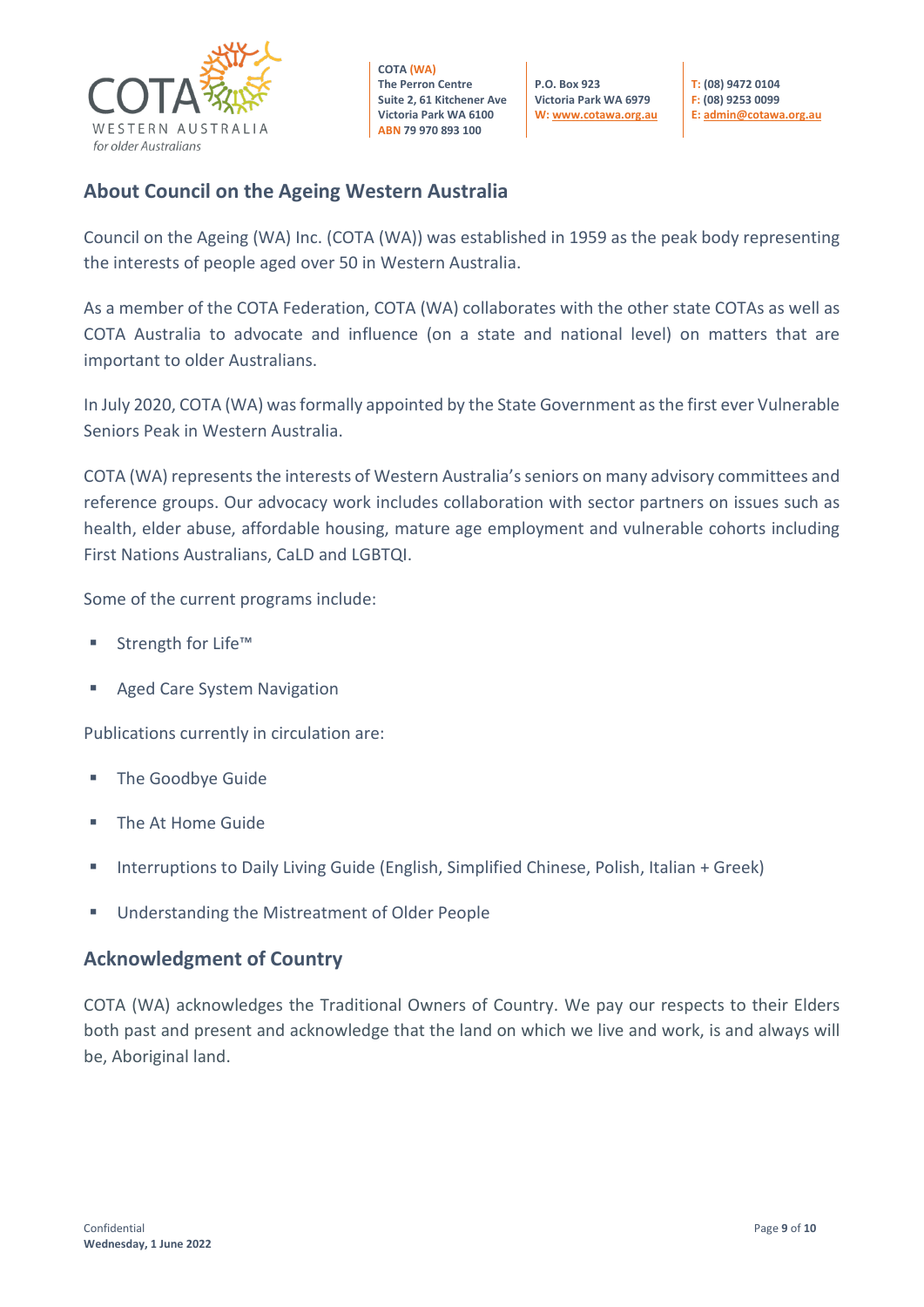

**P.O. Box 923 Victoria Park WA 6979 W[: www.cotawa.org.au](http://www.cotawa.org.au/)** **T: (08) 9472 0104 F: (08) 9253 0099 E[: admin@cotawa.org.au](mailto:admin@cotawa.org.au)**

#### **About Council on the Ageing Western Australia**

Council on the Ageing (WA) Inc. (COTA (WA)) was established in 1959 as the peak body representing the interests of people aged over 50 in Western Australia.

As a member of the COTA Federation, COTA (WA) collaborates with the other state COTAs as well as COTA Australia to advocate and influence (on a state and national level) on matters that are important to older Australians.

In July 2020, COTA (WA) was formally appointed by the State Government as the first ever Vulnerable Seniors Peak in Western Australia.

COTA (WA) represents the interests of Western Australia's seniors on many advisory committees and reference groups. Our advocacy work includes collaboration with sector partners on issues such as health, elder abuse, affordable housing, mature age employment and vulnerable cohorts including First Nations Australians, CaLD and LGBTQI.

Some of the current programs include:

- Strength for Life™
- **Aged Care System Navigation**

Publications currently in circulation are:

- **The Goodbye Guide**
- **The At Home Guide**
- **Interruptions to Daily Living Guide (English, Simplified Chinese, Polish, Italian + Greek)**
- Understanding the Mistreatment of Older People

#### **Acknowledgment of Country**

COTA (WA) acknowledges the Traditional Owners of Country. We pay our respects to their Elders both past and present and acknowledge that the land on which we live and work, is and always will be, Aboriginal land.